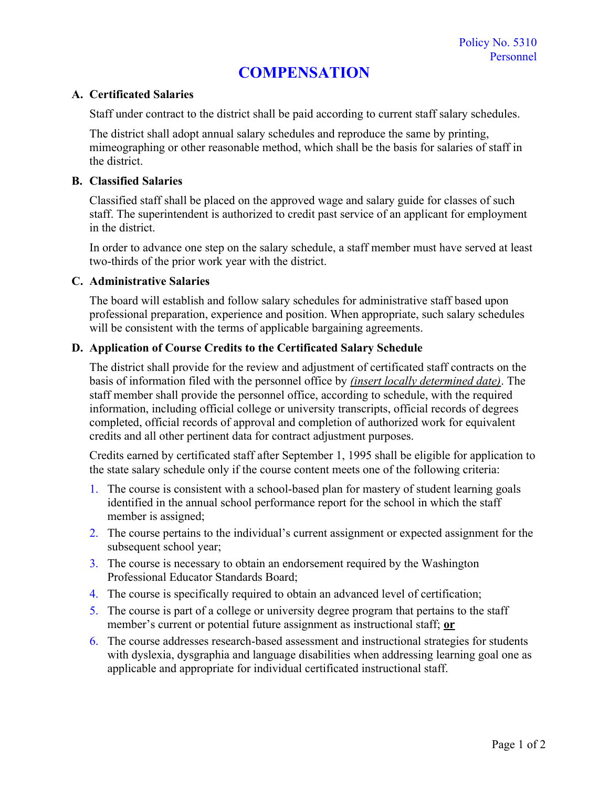# **COMPENSATION**

## **A. Certificated Salaries**

Staff under contract to the district shall be paid according to current staff salary schedules.

The district shall adopt annual salary schedules and reproduce the same by printing, mimeographing or other reasonable method, which shall be the basis for salaries of staff in the district.

## **B. Classified Salaries**

Classified staff shall be placed on the approved wage and salary guide for classes of such staff. The superintendent is authorized to credit past service of an applicant for employment in the district.

In order to advance one step on the salary schedule, a staff member must have served at least two-thirds of the prior work year with the district.

## **C. Administrative Salaries**

The board will establish and follow salary schedules for administrative staff based upon professional preparation, experience and position. When appropriate, such salary schedules will be consistent with the terms of applicable bargaining agreements.

# **D. Application of Course Credits to the Certificated Salary Schedule**

The district shall provide for the review and adjustment of certificated staff contracts on the basis of information filed with the personnel office by *(insert locally determined date)*. The staff member shall provide the personnel office, according to schedule, with the required information, including official college or university transcripts, official records of degrees completed, official records of approval and completion of authorized work for equivalent credits and all other pertinent data for contract adjustment purposes.

Credits earned by certificated staff after September 1, 1995 shall be eligible for application to the state salary schedule only if the course content meets one of the following criteria:

- 1. The course is consistent with a school-based plan for mastery of student learning goals identified in the annual school performance report for the school in which the staff member is assigned;
- 2. The course pertains to the individual's current assignment or expected assignment for the subsequent school year;
- 3. The course is necessary to obtain an endorsement required by the Washington Professional Educator Standards Board;
- 4. The course is specifically required to obtain an advanced level of certification;
- 5. The course is part of a college or university degree program that pertains to the staff member's current or potential future assignment as instructional staff; **or**
- 6. The course addresses research-based assessment and instructional strategies for students with dyslexia, dysgraphia and language disabilities when addressing learning goal one as applicable and appropriate for individual certificated instructional staff.